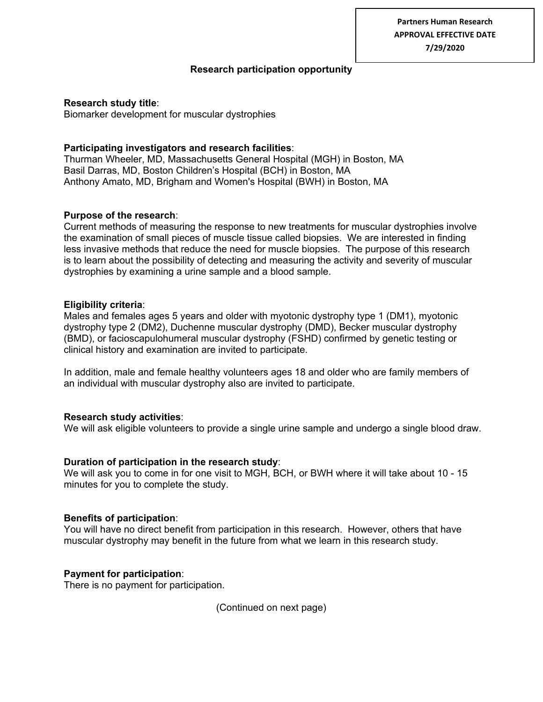**Partners Human Research APPROVAL EFFECTIVE DATE 7/29/2020**

## **Research participation opportunity**

#### **Research study title**:

Biomarker development for muscular dystrophies

# **Participating investigators and research facilities**:

Thurman Wheeler, MD, Massachusetts General Hospital (MGH) in Boston, MA Basil Darras, MD, Boston Children's Hospital (BCH) in Boston, MA Anthony Amato, MD, Brigham and Women's Hospital (BWH) in Boston, MA

## **Purpose of the research**:

Current methods of measuring the response to new treatments for muscular dystrophies involve the examination of small pieces of muscle tissue called biopsies. We are interested in finding less invasive methods that reduce the need for muscle biopsies. The purpose of this research is to learn about the possibility of detecting and measuring the activity and severity of muscular dystrophies by examining a urine sample and a blood sample.

## **Eligibility criteria**:

Males and females ages 5 years and older with myotonic dystrophy type 1 (DM1), myotonic dystrophy type 2 (DM2), Duchenne muscular dystrophy (DMD), Becker muscular dystrophy (BMD), or facioscapulohumeral muscular dystrophy (FSHD) confirmed by genetic testing or clinical history and examination are invited to participate.

In addition, male and female healthy volunteers ages 18 and older who are family members of an individual with muscular dystrophy also are invited to participate.

#### **Research study activities**:

We will ask eligible volunteers to provide a single urine sample and undergo a single blood draw.

#### **Duration of participation in the research study**:

We will ask you to come in for one visit to MGH, BCH, or BWH where it will take about 10 - 15 minutes for you to complete the study.

#### **Benefits of participation**:

You will have no direct benefit from participation in this research. However, others that have muscular dystrophy may benefit in the future from what we learn in this research study.

# **Payment for participation**:

There is no payment for participation.

(Continued on next page)